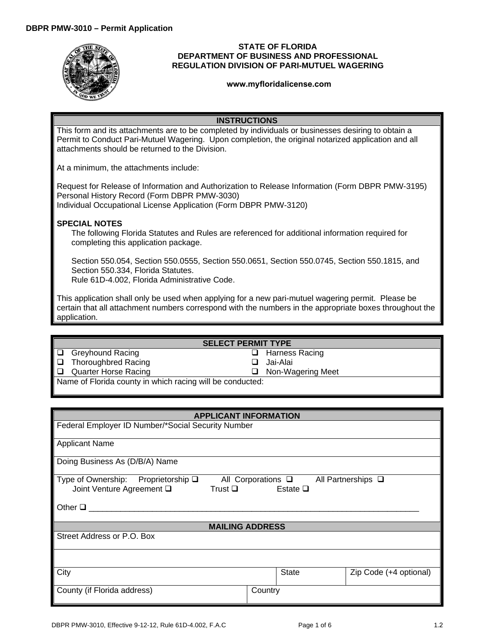

### **STATE OF FLORIDA DEPARTMENT OF BUSINESS AND PROFESSIONAL REGULATION DIVISION OF PARI-MUTUEL WAGERING**

#### **<www.myfloridalicense.com>**

## **INSTRUCTIONS**

This form and its attachments are to be completed by individuals or businesses desiring to obtain a Permit to Conduct Pari-Mutuel Wagering. Upon completion, the original notarized application and all attachments should be returned to the Division.

At a minimum, the attachments include:

Request for Release of Information and Authorization to Release Information (Form DBPR PMW-3195) Personal History Record (Form DBPR PMW-3030) Individual Occupational License Application (Form DBPR PMW-3120)

# **SPECIAL NOTES**

The following Florida Statutes and Rules are referenced for additional information required for completing this application package.

Section 550.054, Section 550.0555, Section 550.0651, Section 550.0745, Section 550.1815, and Section 550.334, Florida Statutes.

Rule 61D-4.002, Florida Administrative Code.

This application shall only be used when applying for a new pari-mutuel wagering permit. Please be certain that all attachment numbers correspond with the numbers in the appropriate boxes throughout the application.

# **SELECT PERMIT TYPE**

□ Harness Racing

□ Non-Wagering Meet

Jai-Alai

- Greyhound Racing
- □ Thoroughbred Racing
- Quarter Horse Racing

Name of Florida county in which racing will be conducted:

| <b>APPLICANT INFORMATION</b>                                                               |                                        |                         |  |
|--------------------------------------------------------------------------------------------|----------------------------------------|-------------------------|--|
| Federal Employer ID Number/*Social Security Number                                         |                                        |                         |  |
| <b>Applicant Name</b>                                                                      |                                        |                         |  |
| Doing Business As (D/B/A) Name                                                             |                                        |                         |  |
| Type of Ownership:<br>Proprietorship <b>□</b><br>Joint Venture Agreement Q<br>Trust $\Box$ | All Corporations □<br>Estate $\square$ | All Partnerships $\Box$ |  |
| Other $\Box$                                                                               |                                        |                         |  |
| <b>MAILING ADDRESS</b>                                                                     |                                        |                         |  |
| Street Address or P.O. Box                                                                 |                                        |                         |  |
|                                                                                            |                                        |                         |  |
| City                                                                                       | <b>State</b>                           | Zip Code (+4 optional)  |  |
| County (if Florida address)                                                                | Country                                |                         |  |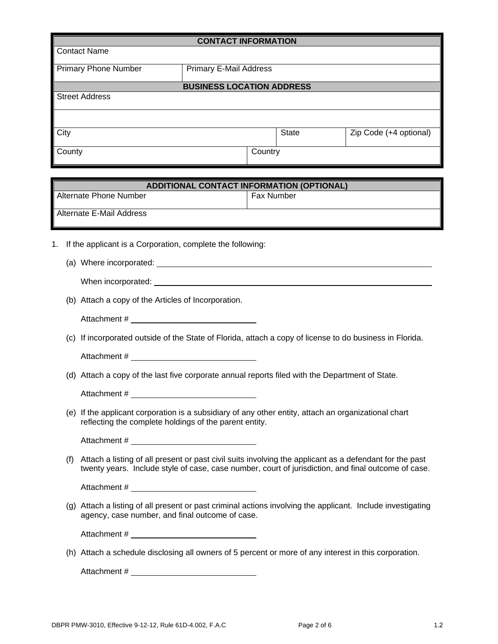| <b>CONTACT INFORMATION</b>                       |                                  |       |                        |  |
|--------------------------------------------------|----------------------------------|-------|------------------------|--|
| Contact Name                                     |                                  |       |                        |  |
| <b>Primary Phone Number</b>                      | <b>Primary E-Mail Address</b>    |       |                        |  |
|                                                  |                                  |       |                        |  |
|                                                  | <b>BUSINESS LOCATION ADDRESS</b> |       |                        |  |
| <b>Street Address</b>                            |                                  |       |                        |  |
|                                                  |                                  |       |                        |  |
| City                                             |                                  | State | Zip Code (+4 optional) |  |
| County                                           | Country                          |       |                        |  |
|                                                  |                                  |       |                        |  |
| <b>ADDITIONAL CONTACT INFORMATION (OPTIONAL)</b> |                                  |       |                        |  |

| ADDITIONAL CONTACT INFORMATION (OPTIONAL) |                   |  |
|-------------------------------------------|-------------------|--|
| Alternate Phone Number                    | <b>Fax Number</b> |  |
| l Alternate E-Mail Address                |                   |  |

- 1. If the applicant is a Corporation, complete the following:
	- (a) Where incorporated:

| When incorporated: |
|--------------------|
|                    |

(b) Attach a copy of the Articles of Incorporation.

Attachment #

(c) If incorporated outside of the State of Florida, attach a copy of license to do business in Florida.

Attachment #

(d) Attach a copy of the last five corporate annual reports filed with the Department of State.

Attachment #

(e) If the applicant corporation is a subsidiary of any other entity, attach an organizational chart reflecting the complete holdings of the parent entity.

Attachment #

(f) Attach a listing of all present or past civil suits involving the applicant as a defendant for the past twenty years. Include style of case, case number, court of jurisdiction, and final outcome of case.

Attachment #  $\overline{a}$  and  $\overline{a}$  and  $\overline{a}$  and  $\overline{a}$  and  $\overline{a}$  and  $\overline{a}$  and  $\overline{a}$  and  $\overline{a}$  and  $\overline{a}$  and  $\overline{a}$  and  $\overline{a}$  and  $\overline{a}$  and  $\overline{a}$  and  $\overline{a}$  and  $\overline{a}$  and  $\overline{a}$  and

(g) Attach a listing of all present or past criminal actions involving the applicant. Include investigating agency, case number, and final outcome of case.

Attachment #

(h) Attach a schedule disclosing all owners of 5 percent or more of any interest in this corporation.

Attachment #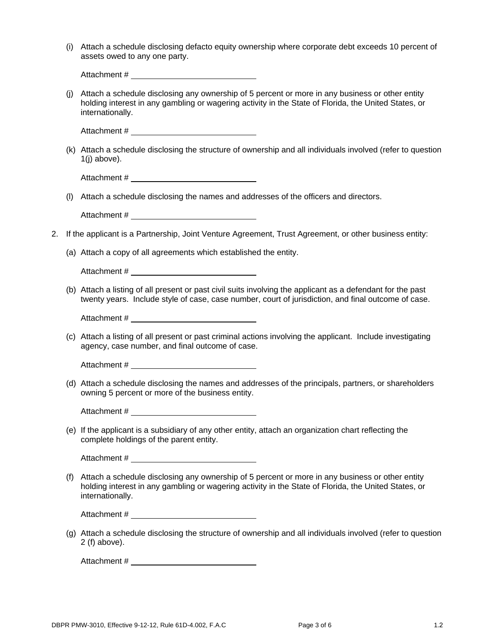| (i) Attach a schedule disclosing defacto equity ownership where corporate debt exceeds 10 percent of |
|------------------------------------------------------------------------------------------------------|
| assets owed to any one party.                                                                        |

|    |     | Attach a scribute disclusing detactor equity ownership where corporate debt exceeds to percent or<br>assets owed to any one party.                                                                                          |
|----|-----|-----------------------------------------------------------------------------------------------------------------------------------------------------------------------------------------------------------------------------|
|    |     |                                                                                                                                                                                                                             |
|    | (i) | Attach a schedule disclosing any ownership of 5 percent or more in any business or other entity<br>holding interest in any gambling or wagering activity in the State of Florida, the United States, or<br>internationally. |
|    |     |                                                                                                                                                                                                                             |
|    |     | (k) Attach a schedule disclosing the structure of ownership and all individuals involved (refer to question<br>$1(j)$ above).                                                                                               |
|    |     |                                                                                                                                                                                                                             |
|    | (1) | Attach a schedule disclosing the names and addresses of the officers and directors.                                                                                                                                         |
|    |     |                                                                                                                                                                                                                             |
| 2. |     | If the applicant is a Partnership, Joint Venture Agreement, Trust Agreement, or other business entity:                                                                                                                      |
|    |     | (a) Attach a copy of all agreements which established the entity.                                                                                                                                                           |
|    |     |                                                                                                                                                                                                                             |
|    |     | (b) Attach a listing of all present or past civil suits involving the applicant as a defendant for the past<br>twenty years. Include style of case, case number, court of jurisdiction, and final outcome of case.          |
|    |     |                                                                                                                                                                                                                             |
|    |     | (c) Attach a listing of all present or past criminal actions involving the applicant. Include investigating<br>agency, case number, and final outcome of case.                                                              |
|    |     |                                                                                                                                                                                                                             |
|    |     | (d) Attach a schedule disclosing the names and addresses of the principals, partners, or shareholders<br>owning 5 percent or more of the business entity.                                                                   |
|    |     | Attachment #                                                                                                                                                                                                                |
|    |     | (e) If the applicant is a subsidiary of any other entity, attach an organization chart reflecting the<br>complete holdings of the parent entity.                                                                            |
|    |     |                                                                                                                                                                                                                             |
|    | (f) | Attach a schedule disclosing any ownership of 5 percent or more in any business or other entity<br>holding interest in any gambling or wagering activity in the State of Florida, the United States, or<br>internationally. |
|    |     |                                                                                                                                                                                                                             |
|    |     | (a) Attach a schodule disclosing the structure of ownership and all individuals involved (refer to question)                                                                                                                |

(g) Attach a schedule disclosing the structure of ownership and all individuals involved (refer to question 2 (f) above).

Attachment #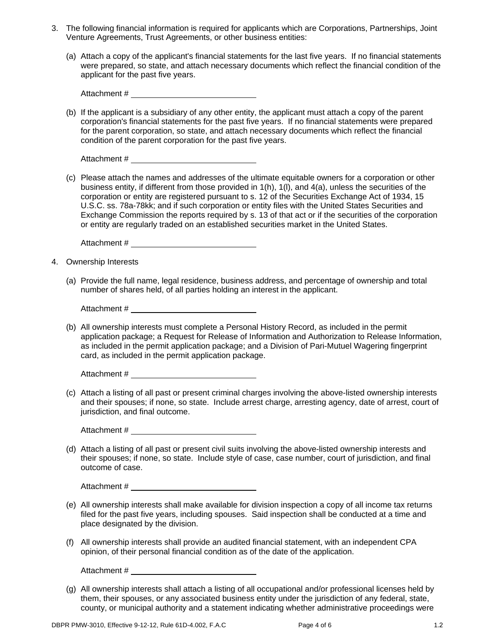- 3. The following financial information is required for applicants which are Corporations, Partnerships, Joint Venture Agreements, Trust Agreements, or other business entities:
	- (a) Attach a copy of the applicant's financial statements for the last five years. If no financial statements were prepared, so state, and attach necessary documents which reflect the financial condition of the applicant for the past five years.

(b) If the applicant is a subsidiary of any other entity, the applicant must attach a copy of the parent corporation's financial statements for the past five years. If no financial statements were prepared for the parent corporation, so state, and attach necessary documents which reflect the financial condition of the parent corporation for the past five years.

Attachment #  $\overline{a}$  and  $\overline{a}$  and  $\overline{a}$  and  $\overline{a}$  and  $\overline{a}$  and  $\overline{a}$  and  $\overline{a}$  and  $\overline{a}$  and  $\overline{a}$  and  $\overline{a}$  and  $\overline{a}$  and  $\overline{a}$  and  $\overline{a}$  and  $\overline{a}$  and  $\overline{a}$  and  $\overline{a}$  and

(c) Please attach the names and addresses of the ultimate equitable owners for a corporation or other business entity, if different from those provided in 1(h), 1(l), and 4(a), unless the securities of the corporation or entity are registered pursuant to s. 12 of the Securities Exchange Act of 1934, 15 U.S.C. ss. 78a-78kk; and if such corporation or entity files with the United States Securities and Exchange Commission the reports required by s. 13 of that act or if the securities of the corporation or entity are regularly traded on an established securities market in the United States.

Attachment #

- 4. Ownership Interests
	- (a) Provide the full name, legal residence, business address, and percentage of ownership and total number of shares held, of all parties holding an interest in the applicant.

Attachment #

(b) All ownership interests must complete a Personal History Record, as included in the permit application package; a Request for Release of Information and Authorization to Release Information, as included in the permit application package; and a Division of Pari-Mutuel Wagering fingerprint card, as included in the permit application package.

Attachment #  $\overline{a}$  and  $\overline{a}$  and  $\overline{a}$  and  $\overline{a}$  and  $\overline{a}$  and  $\overline{a}$  and  $\overline{a}$  and  $\overline{a}$  and  $\overline{a}$  and  $\overline{a}$  and  $\overline{a}$  and  $\overline{a}$  and  $\overline{a}$  and  $\overline{a}$  and  $\overline{a}$  and  $\overline{a}$  and

(c) Attach a listing of all past or present criminal charges involving the above-listed ownership interests and their spouses; if none, so state. Include arrest charge, arresting agency, date of arrest, court of jurisdiction, and final outcome.

Attachment # \_\_\_\_\_\_\_\_

(d) Attach a listing of all past or present civil suits involving the above-listed ownership interests and their spouses; if none, so state. Include style of case, case number, court of jurisdiction, and final outcome of case.

Attachment #

- (e) All ownership interests shall make available for division inspection a copy of all income tax returns filed for the past five years, including spouses. Said inspection shall be conducted at a time and place designated by the division.
- (f) All ownership interests shall provide an audited financial statement, with an independent CPA opinion, of their personal financial condition as of the date of the application.

Attachment #  $\overline{a}$  and  $\overline{a}$  and  $\overline{a}$  and  $\overline{a}$  and  $\overline{a}$  and  $\overline{a}$  and  $\overline{a}$  and  $\overline{a}$  and  $\overline{a}$  and  $\overline{a}$  and  $\overline{a}$  and  $\overline{a}$  and  $\overline{a}$  and  $\overline{a}$  and  $\overline{a}$  and  $\overline{a}$  and

(g) All ownership interests shall attach a listing of all occupational and/or professional licenses held by them, their spouses, or any associated business entity under the jurisdiction of any federal, state, county, or municipal authority and a statement indicating whether administrative proceedings were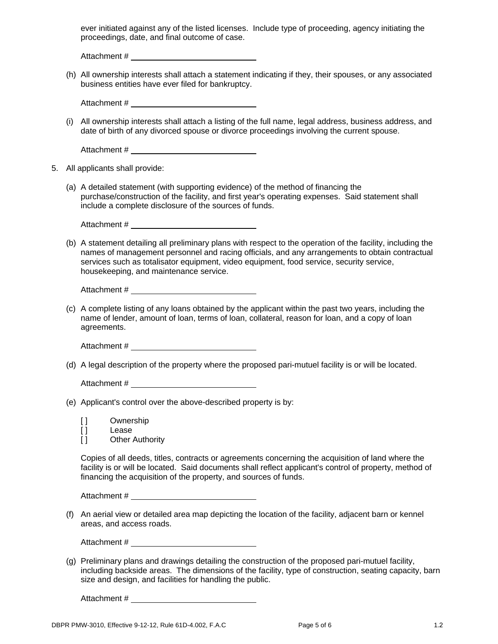ever initiated against any of the listed licenses. Include type of proceeding, agency initiating the proceedings, date, and final outcome of case.

Attachment #  $\overline{a}$  and  $\overline{a}$  and  $\overline{a}$  and  $\overline{a}$  and  $\overline{a}$  and  $\overline{a}$  and  $\overline{a}$  and  $\overline{a}$  and  $\overline{a}$  and  $\overline{a}$  and  $\overline{a}$  and  $\overline{a}$  and  $\overline{a}$  and  $\overline{a}$  and  $\overline{a}$  and  $\overline{a}$  and

(h) All ownership interests shall attach a statement indicating if they, their spouses, or any associated business entities have ever filed for bankruptcy.

Attachment #

(i) All ownership interests shall attach a listing of the full name, legal address, business address, and date of birth of any divorced spouse or divorce proceedings involving the current spouse.

| Attachment # |  |
|--------------|--|
|              |  |

- 5. All applicants shall provide:
	- (a) A detailed statement (with supporting evidence) of the method of financing the purchase/construction of the facility, and first year's operating expenses. Said statement shall include a complete disclosure of the sources of funds.

(b) A statement detailing all preliminary plans with respect to the operation of the facility, including the names of management personnel and racing officials, and any arrangements to obtain contractual services such as totalisator equipment, video equipment, food service, security service, housekeeping, and maintenance service.

Attachment #

(c) A complete listing of any loans obtained by the applicant within the past two years, including the name of lender, amount of loan, terms of loan, collateral, reason for loan, and a copy of loan agreements.

Attachment #

(d) A legal description of the property where the proposed pari-mutuel facility is or will be located.

Attachment #

(e) Applicant's control over the above-described property is by:

[ ] Ownership [ ] Lease

[ ] Other Authority

Copies of all deeds, titles, contracts or agreements concerning the acquisition of land where the facility is or will be located. Said documents shall reflect applicant's control of property, method of financing the acquisition of the property, and sources of funds.

Attachment #

(f) An aerial view or detailed area map depicting the location of the facility, adjacent barn or kennel areas, and access roads.

Attachment #

(g) Preliminary plans and drawings detailing the construction of the proposed pari-mutuel facility, including backside areas. The dimensions of the facility, type of construction, seating capacity, barn size and design, and facilities for handling the public.

Attachment #